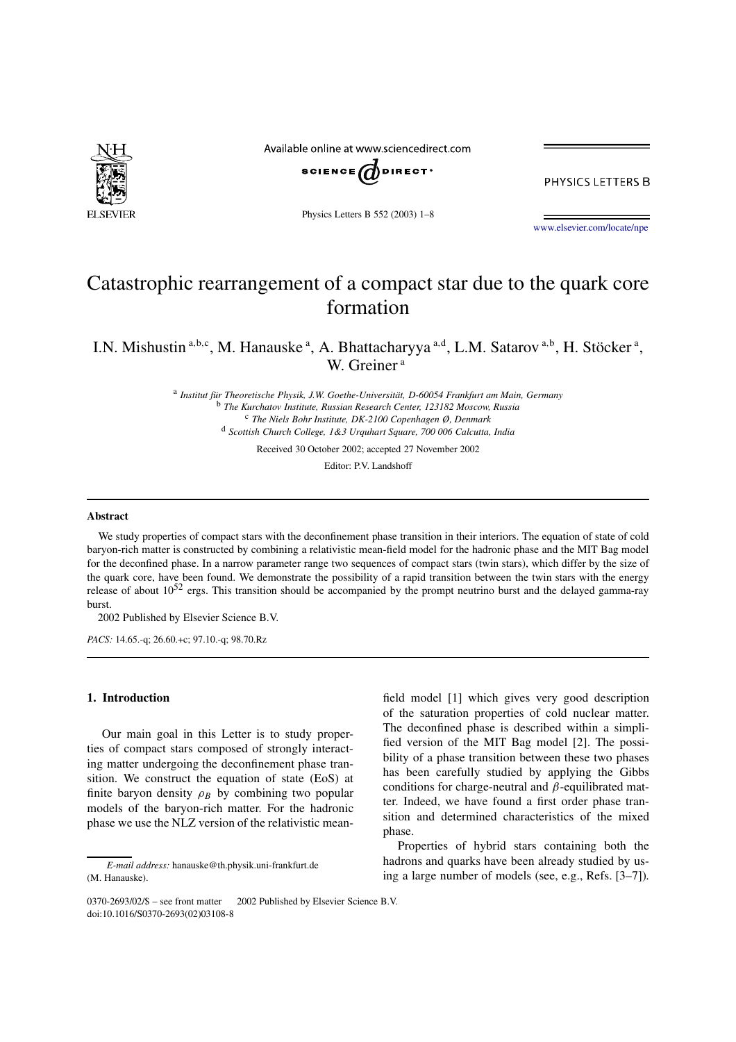

Available online at www.sciencedirect.com



PHYSICS LETTERS B

Physics Letters B 552 (2003) 1–8

www.elsevier.com/locate/npe

# Catastrophic rearrangement of a compact star due to the quark core formation

I.N. Mishustin a,b,c, M. Hanauske a, A. Bhattacharyya a,d, L.M. Satarov a,b, H. Stöcker a, W. Greiner<sup>a</sup>

> a *Institut für Theoretische Physik, J.W. Goethe-Universität, D-60054 Frankfurt am Main, Germany* <sup>b</sup> *The Kurchatov Institute, Russian Research Center, 123182 Moscow, Russia* <sup>c</sup> *The Niels Bohr Institute, DK-2100 Copenhagen Ø, Denmark* <sup>d</sup> *Scottish Church College, 1&3 Urquhart Square, 700 006 Calcutta, India*

> > Received 30 October 2002; accepted 27 November 2002

Editor: P.V. Landshoff

#### **Abstract**

We study properties of compact stars with the deconfinement phase transition in their interiors. The equation of state of cold baryon-rich matter is constructed by combining a relativistic mean-field model for the hadronic phase and the MIT Bag model for the deconfined phase. In a narrow parameter range two sequences of compact stars (twin stars), which differ by the size of the quark core, have been found. We demonstrate the possibility of a rapid transition between the twin stars with the energy release of about  $10^{52}$  ergs. This transition should be accompanied by the prompt neutrino burst and the delayed gamma-ray burst.

2002 Published by Elsevier Science B.V.

*PACS:* 14.65.-q; 26.60.+c; 97.10.-q; 98.70.Rz

# **1. Introduction**

Our main goal in this Letter is to study properties of compact stars composed of strongly interacting matter undergoing the deconfinement phase transition. We construct the equation of state (EoS) at finite baryon density  $\rho_B$  by combining two popular models of the baryon-rich matter. For the hadronic phase we use the NLZ version of the relativistic meanfield model [1] which gives very good description of the saturation properties of cold nuclear matter. The deconfined phase is described within a simplified version of the MIT Bag model [2]. The possibility of a phase transition between these two phases has been carefully studied by applying the Gibbs conditions for charge-neutral and  $\beta$ -equilibrated matter. Indeed, we have found a first order phase transition and determined characteristics of the mixed phase.

Properties of hybrid stars containing both the hadrons and quarks have been already studied by using a large number of models (see, e.g., Refs. [3–7]).

*E-mail address:* hanauske@th.physik.uni-frankfurt.de (M. Hanauske).

<sup>0370-2693/02/\$ –</sup> see front matter © 2002 Published by Elsevier Science B.V. doi:10.1016/S0370-2693(02)03108-8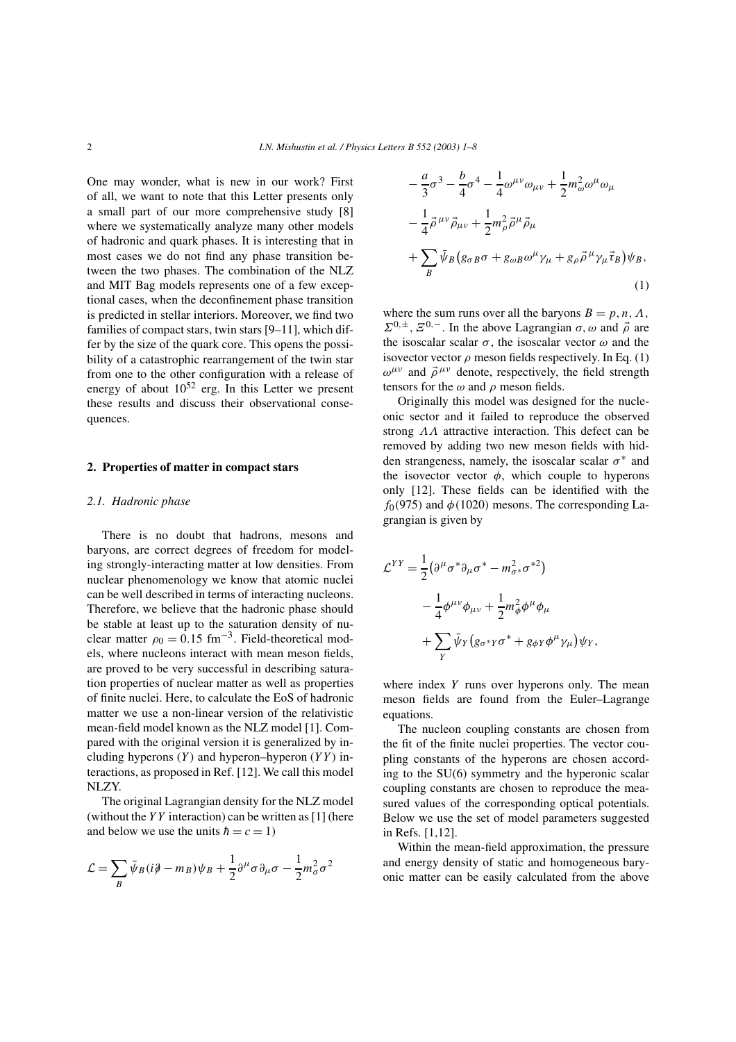One may wonder, what is new in our work? First of all, we want to note that this Letter presents only a small part of our more comprehensive study [8] where we systematically analyze many other models of hadronic and quark phases. It is interesting that in most cases we do not find any phase transition between the two phases. The combination of the NLZ and MIT Bag models represents one of a few exceptional cases, when the deconfinement phase transition is predicted in stellar interiors. Moreover, we find two families of compact stars, twin stars [9–11], which differ by the size of the quark core. This opens the possibility of a catastrophic rearrangement of the twin star from one to the other configuration with a release of energy of about  $10^{52}$  erg. In this Letter we present these results and discuss their observational consequences.

## **2. Properties of matter in compact stars**

## *2.1. Hadronic phase*

There is no doubt that hadrons, mesons and baryons, are correct degrees of freedom for modeling strongly-interacting matter at low densities. From nuclear phenomenology we know that atomic nuclei can be well described in terms of interacting nucleons. Therefore, we believe that the hadronic phase should be stable at least up to the saturation density of nuclear matter  $\rho_0 = 0.15$  fm<sup>-3</sup>. Field-theoretical models, where nucleons interact with mean meson fields, are proved to be very successful in describing saturation properties of nuclear matter as well as properties of finite nuclei. Here, to calculate the EoS of hadronic matter we use a non-linear version of the relativistic mean-field model known as the NLZ model [1]. Compared with the original version it is generalized by including hyperons  $(Y)$  and hyperon–hyperon  $(YY)$  interactions, as proposed in Ref. [12]. We call this model NLZY.

The original Lagrangian density for the NLZ model (without the  $YY$  interaction) can be written as [1] (here and below we use the units  $\hbar = c = 1$ )

$$
\mathcal{L} = \sum_{B} \bar{\psi}_{B} (i \partial \!\!/ - m_{B}) \psi_{B} + \frac{1}{2} \partial^{\mu} \sigma \partial_{\mu} \sigma - \frac{1}{2} m_{\sigma}^{2} \sigma^{2}
$$

$$
-\frac{a}{3}\sigma^3 - \frac{b}{4}\sigma^4 - \frac{1}{4}\omega^{\mu\nu}\omega_{\mu\nu} + \frac{1}{2}m^2_{\omega}\omega^{\mu}\omega_{\mu}
$$

$$
-\frac{1}{4}\vec{\rho}^{\mu\nu}\vec{\rho}_{\mu\nu} + \frac{1}{2}m^2_{\rho}\vec{\rho}^{\mu}\vec{\rho}_{\mu}
$$

$$
+\sum_{B}\bar{\psi}_{B}\left(g_{\sigma B}\sigma + g_{\omega B}\omega^{\mu}\gamma_{\mu} + g_{\rho}\vec{\rho}^{\mu}\gamma_{\mu}\vec{\tau}_{B}\right)\psi_{B},
$$
(1)

where the sum runs over all the baryons  $B = p, n, \Lambda$ ,  $\Sigma^{0,\pm}, \Sigma^{0,-}$ . In the above Lagrangian  $\sigma, \omega$  and  $\vec{\rho}$  are the isoscalar scalar  $\sigma$ , the isoscalar vector  $\omega$  and the isovector vector  $\rho$  meson fields respectively. In Eq. (1)  $\omega^{\mu\nu}$  and  $\vec{\rho}^{\mu\nu}$  denote, respectively, the field strength tensors for the  $\omega$  and  $\rho$  meson fields.

Originally this model was designed for the nucleonic sector and it failed to reproduce the observed strong ΛΛ attractive interaction. This defect can be removed by adding two new meson fields with hidden strangeness, namely, the isoscalar scalar  $\sigma^*$  and the isovector vector  $\phi$ , which couple to hyperons only [12]. These fields can be identified with the  $f<sub>0</sub>(975)$  and  $\phi(1020)$  mesons. The corresponding Lagrangian is given by

$$
\mathcal{L}^{YY} = \frac{1}{2} \left( \partial^{\mu} \sigma^* \partial_{\mu} \sigma^* - m_{\sigma^*}^2 \sigma^{*2} \right)
$$
  

$$
- \frac{1}{4} \phi^{\mu \nu} \phi_{\mu \nu} + \frac{1}{2} m_{\phi}^2 \phi^{\mu} \phi_{\mu}
$$
  

$$
+ \sum_{Y} \bar{\psi}_{Y} \left( g_{\sigma^* Y} \sigma^* + g_{\phi Y} \phi^{\mu} \gamma_{\mu} \right) \psi_{Y},
$$

where index  $Y$  runs over hyperons only. The mean meson fields are found from the Euler–Lagrange equations.

The nucleon coupling constants are chosen from the fit of the finite nuclei properties. The vector coupling constants of the hyperons are chosen according to the SU(6) symmetry and the hyperonic scalar coupling constants are chosen to reproduce the measured values of the corresponding optical potentials. Below we use the set of model parameters suggested in Refs. [1,12].

Within the mean-field approximation, the pressure and energy density of static and homogeneous baryonic matter can be easily calculated from the above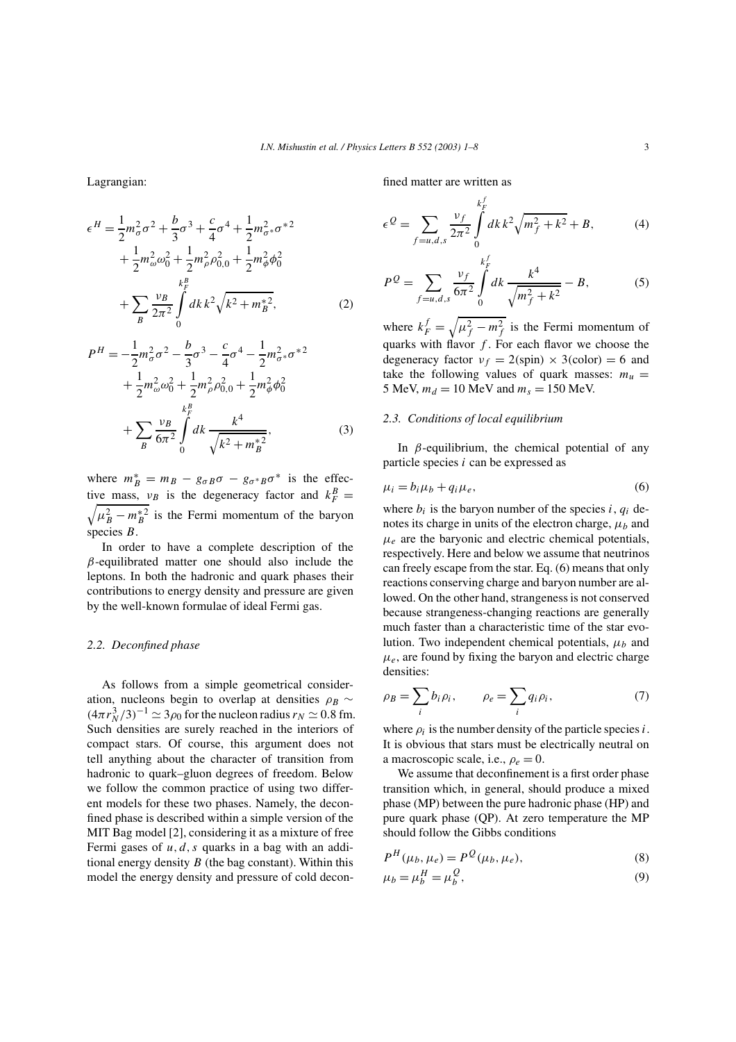Lagrangian:

$$
\epsilon^{H} = \frac{1}{2} m_{\sigma}^{2} \sigma^{2} + \frac{b}{3} \sigma^{3} + \frac{c}{4} \sigma^{4} + \frac{1}{2} m_{\sigma}^{2} \sigma^{*2} \n+ \frac{1}{2} m_{\omega}^{2} \omega_{0}^{2} + \frac{1}{2} m_{\rho}^{2} \rho_{0,0}^{2} + \frac{1}{2} m_{\phi}^{2} \phi_{0}^{2} \n+ \sum_{B} \frac{\nu_{B}}{2\pi^{2}} \int_{0}^{k_{F}^{B}} dk \, k^{2} \sqrt{k^{2} + m_{B}^{*2}},
$$
\n(2)

$$
P^{H} = -\frac{1}{2}m_{\sigma}^{2}\sigma^{2} - \frac{b}{3}\sigma^{3} - \frac{c}{4}\sigma^{4} - \frac{1}{2}m_{\sigma^{*}}^{2}\sigma^{*2} + \frac{1}{2}m_{\omega}^{2}\omega_{0}^{2} + \frac{1}{2}m_{\rho}^{2}\rho_{0,0}^{2} + \frac{1}{2}m_{\phi}^{2}\phi_{0}^{2} + \sum_{B} \frac{\nu_{B}}{6\pi^{2}} \int_{0}^{k_{F}^{2}} dk \frac{k^{4}}{\sqrt{k^{2} + m_{B}^{*2}}},
$$
(3)

where  $m_B^* = m_B - g_{\sigma B} \sigma - g_{\sigma^* B} \sigma^*$  is the effective mass,  $v_B$  is the degeneracy factor and  $k_F^B =$ <br> $\sqrt{u^2 - m^*^2}$  is the Fermi momentum of the baryon  $\mu_B^2 - m_B^{*2}$  is the Fermi momentum of the baryon species B.

In order to have a complete description of the  $\beta$ -equilibrated matter one should also include the leptons. In both the hadronic and quark phases their contributions to energy density and pressure are given by the well-known formulae of ideal Fermi gas.

#### *2.2. Deconfined phase*

As follows from a simple geometrical consideration, nucleons begin to overlap at densities  $\rho_B \sim$  $(4\pi r_N^3/3)^{-1} \simeq 3\rho_0$  for the nucleon radius  $r_N \simeq 0.8$  fm. Such densities are surely reached in the interiors of compact stars. Of course, this argument does not tell anything about the character of transition from hadronic to quark–gluon degrees of freedom. Below we follow the common practice of using two different models for these two phases. Namely, the deconfined phase is described within a simple version of the MIT Bag model [2], considering it as a mixture of free Fermi gases of  $u, d, s$  quarks in a bag with an additional energy density  $B$  (the bag constant). Within this model the energy density and pressure of cold deconfined matter are written as

$$
\epsilon^{Q} = \sum_{f=u,d,s} \frac{\nu_{f}}{2\pi^{2}} \int_{0}^{k_{F}^{f}} dk \, k^{2} \sqrt{m_{f}^{2} + k^{2}} + B, \tag{4}
$$

$$
P^{Q} = \sum_{f=u,d,s} \frac{v_f}{6\pi^2} \int_0^{k_f^f} dk \frac{k^4}{\sqrt{m_f^2 + k^2}} - B, \tag{5}
$$

where  $k_F^f = \sqrt{\mu_f^2 - m_f^2}$  is the Fermi momentum of quarks with flavor  $f$ . For each flavor we choose the degeneracy factor  $v_f = 2(\text{spin}) \times 3(\text{color}) = 6$  and take the following values of quark masses:  $m_u =$ 5 MeV,  $m_d = 10$  MeV and  $m_s = 150$  MeV.

## *2.3. Conditions of local equilibrium*

In  $\beta$ -equilibrium, the chemical potential of any particle species i can be expressed as

$$
\mu_i = b_i \mu_b + q_i \mu_e,\tag{6}
$$

where  $b_i$  is the baryon number of the species i,  $q_i$  denotes its charge in units of the electron charge,  $\mu_b$  and  $\mu_e$  are the baryonic and electric chemical potentials, respectively. Here and below we assume that neutrinos can freely escape from the star. Eq. (6) means that only reactions conserving charge and baryon number are allowed. On the other hand, strangeness is not conserved because strangeness-changing reactions are generally much faster than a characteristic time of the star evolution. Two independent chemical potentials,  $\mu_b$  and  $\mu_e$ , are found by fixing the baryon and electric charge densities:

$$
\rho_B = \sum_i b_i \rho_i, \qquad \rho_e = \sum_i q_i \rho_i,
$$
\n(7)

where  $\rho_i$  is the number density of the particle species i. It is obvious that stars must be electrically neutral on a macroscopic scale, i.e.,  $\rho_e = 0$ .

We assume that deconfinement is a first order phase transition which, in general, should produce a mixed phase (MP) between the pure hadronic phase (HP) and pure quark phase (QP). At zero temperature the MP should follow the Gibbs conditions

$$
P^{H}(\mu_b, \mu_e) = P^{Q}(\mu_b, \mu_e), \tag{8}
$$

$$
\mu_b = \mu_b^H = \mu_b^Q,\tag{9}
$$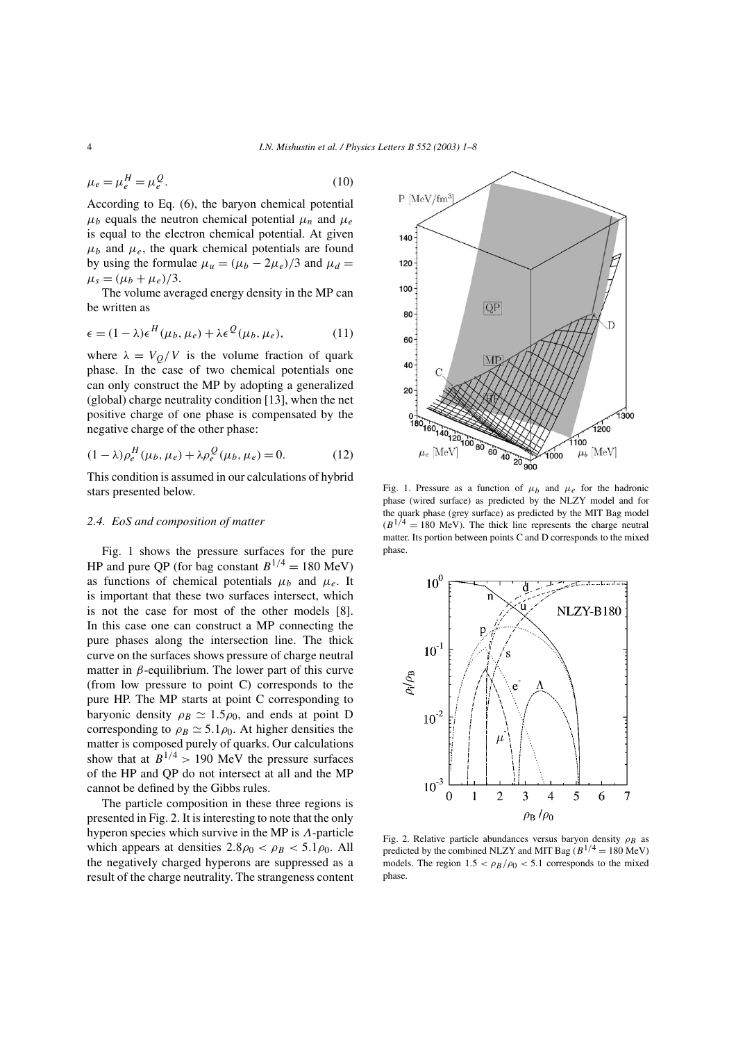$$
\mu_e = \mu_e^H = \mu_e^Q. \tag{10}
$$

According to Eq. (6), the baryon chemical potential  $\mu_b$  equals the neutron chemical potential  $\mu_n$  and  $\mu_e$ is equal to the electron chemical potential. At given  $\mu_b$  and  $\mu_e$ , the quark chemical potentials are found by using the formulae  $\mu_u = (\mu_b - 2\mu_e)/3$  and  $\mu_d =$  $\mu_s = (\mu_b + \mu_e)/3.$ 

The volume averaged energy density in the MP can be written as

$$
\epsilon = (1 - \lambda)\epsilon^H(\mu_b, \mu_e) + \lambda\epsilon^Q(\mu_b, \mu_e), \tag{11}
$$

where  $\lambda = V_O/V$  is the volume fraction of quark phase. In the case of two chemical potentials one can only construct the MP by adopting a generalized (global) charge neutrality condition [13], when the net positive charge of one phase is compensated by the negative charge of the other phase:

$$
(1 - \lambda)\rho_e^H(\mu_b, \mu_e) + \lambda \rho_e^Q(\mu_b, \mu_e) = 0.
$$
 (12)

This condition is assumed in our calculations of hybrid stars presented below.

# *2.4. EoS and composition of matter*

Fig. 1 shows the pressure surfaces for the pure HP and pure QP (for bag constant  $B^{1/4} = 180 \text{ MeV}$ ) as functions of chemical potentials  $\mu_b$  and  $\mu_e$ . It is important that these two surfaces intersect, which is not the case for most of the other models [8]. In this case one can construct a MP connecting the pure phases along the intersection line. The thick curve on the surfaces shows pressure of charge neutral matter in  $\beta$ -equilibrium. The lower part of this curve (from low pressure to point C) corresponds to the pure HP. The MP starts at point C corresponding to baryonic density  $\rho_B \simeq 1.5 \rho_0$ , and ends at point D corresponding to  $\rho_B \simeq 5.1 \rho_0$ . At higher densities the matter is composed purely of quarks. Our calculations show that at  $B^{1/4} > 190$  MeV the pressure surfaces of the HP and QP do not intersect at all and the MP cannot be defined by the Gibbs rules.

The particle composition in these three regions is presented in Fig. 2. It is interesting to note that the only hyperon species which survive in the MP is Λ-particle which appears at densities  $2.8\rho_0 < \rho_B < 5.1\rho_0$ . All the negatively charged hyperons are suppressed as a result of the charge neutrality. The strangeness content



Fig. 1. Pressure as a function of  $\mu_b$  and  $\mu_e$  for the hadronic phase (wired surface) as predicted by the NLZY model and for the quark phase (grey surface) as predicted by the MIT Bag model  $(B^{1/4} = 180$  MeV). The thick line represents the charge neutral matter. Its portion between points C and D corresponds to the mixed phase.



Fig. 2. Relative particle abundances versus baryon density  $\rho_B$  as predicted by the combined NLZY and MIT Bag ( $B^{1/4}$  = 180 MeV) models. The region  $1.5 < \rho_B/\rho_0 < 5.1$  corresponds to the mixed phase.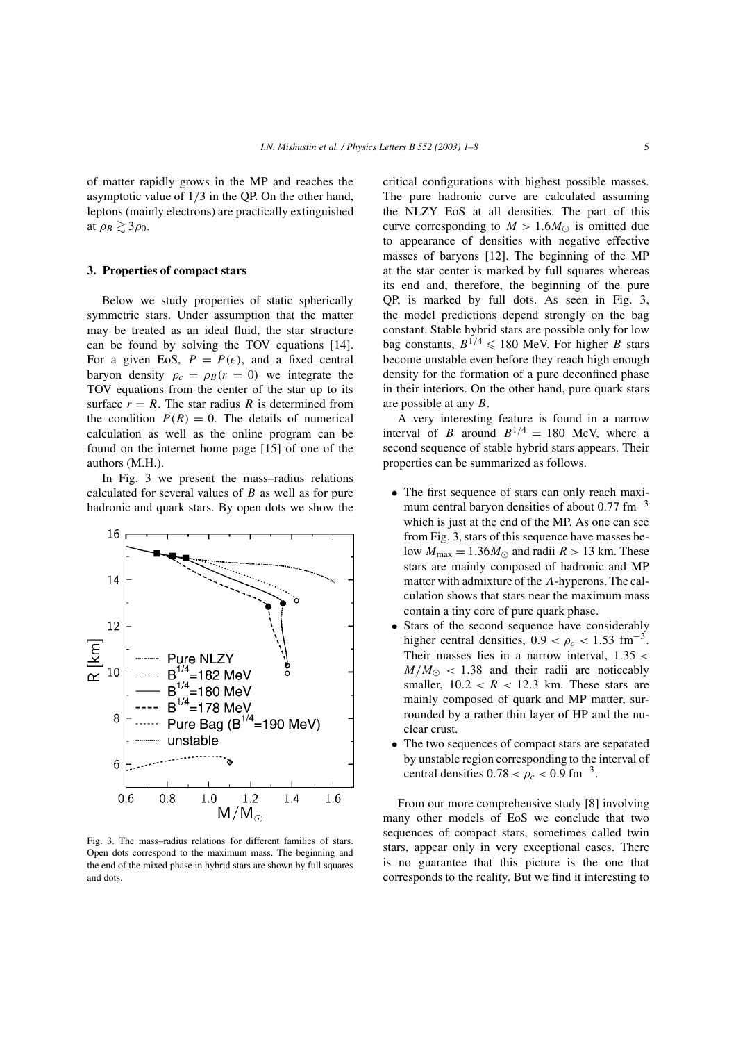of matter rapidly grows in the MP and reaches the asymptotic value of 1/3 in the QP. On the other hand, leptons (mainly electrons) are practically extinguished at  $\rho_B \gtrsim 3\rho_0$ .

#### **3. Properties of compact stars**

Below we study properties of static spherically symmetric stars. Under assumption that the matter may be treated as an ideal fluid, the star structure can be found by solving the TOV equations [14]. For a given EoS,  $P = P(\epsilon)$ , and a fixed central baryon density  $\rho_c = \rho_B(r = 0)$  we integrate the TOV equations from the center of the star up to its surface  $r = R$ . The star radius R is determined from the condition  $P(R) = 0$ . The details of numerical calculation as well as the online program can be found on the internet home page [15] of one of the authors (M.H.).

In Fig. 3 we present the mass–radius relations calculated for several values of  $B$  as well as for pure hadronic and quark stars. By open dots we show the



Fig. 3. The mass–radius relations for different families of stars. Open dots correspond to the maximum mass. The beginning and the end of the mixed phase in hybrid stars are shown by full squares and dots.

critical configurations with highest possible masses. The pure hadronic curve are calculated assuming the NLZY EoS at all densities. The part of this curve corresponding to  $M > 1.6M_{\odot}$  is omitted due to appearance of densities with negative effective masses of baryons [12]. The beginning of the MP at the star center is marked by full squares whereas its end and, therefore, the beginning of the pure QP, is marked by full dots. As seen in Fig. 3, the model predictions depend strongly on the bag constant. Stable hybrid stars are possible only for low bag constants,  $B^{1/4} \leqslant 180$  MeV. For higher B stars become unstable even before they reach high enough density for the formation of a pure deconfined phase in their interiors. On the other hand, pure quark stars are possible at any B.

A very interesting feature is found in a narrow interval of B around  $B^{1/4} = 180$  MeV, where a second sequence of stable hybrid stars appears. Their properties can be summarized as follows.

- The first sequence of stars can only reach maximum central baryon densities of about  $0.77 \text{ fm}^{-3}$ which is just at the end of the MP. As one can see from Fig. 3, stars of this sequence have masses below  $M_{\text{max}} = 1.36 M_{\odot}$  and radii  $R > 13$  km. These stars are mainly composed of hadronic and MP matter with admixture of the Λ-hyperons. The calculation shows that stars near the maximum mass contain a tiny core of pure quark phase.
- Stars of the second sequence have considerably higher central densities,  $0.9 < \rho_c < 1.53$  fm<sup>-3</sup>. Their masses lies in a narrow interval,  $1.35 <$  $M/M_{\odot}$  < 1.38 and their radii are noticeably smaller,  $10.2 < R < 12.3$  km. These stars are mainly composed of quark and MP matter, surrounded by a rather thin layer of HP and the nuclear crust.
- The two sequences of compact stars are separated by unstable region corresponding to the interval of central densities  $0.78 < \rho_c < 0.9$  fm<sup>-3</sup>.

From our more comprehensive study [8] involving many other models of EoS we conclude that two sequences of compact stars, sometimes called twin stars, appear only in very exceptional cases. There is no guarantee that this picture is the one that corresponds to the reality. But we find it interesting to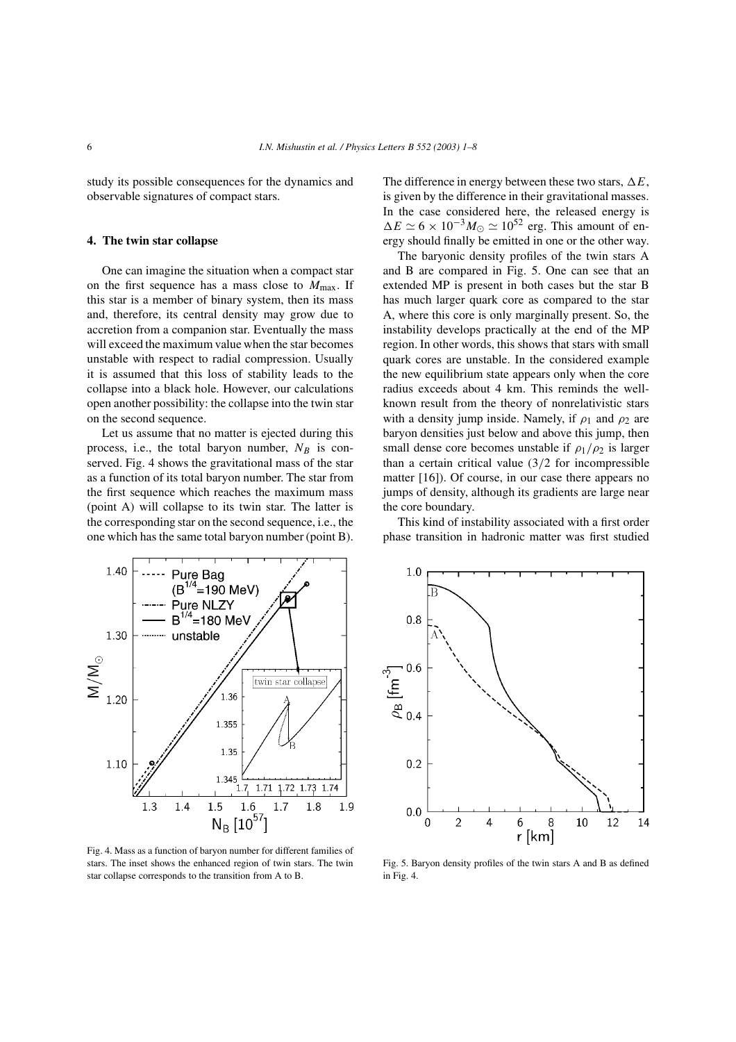study its possible consequences for the dynamics and observable signatures of compact stars.

## **4. The twin star collapse**

One can imagine the situation when a compact star on the first sequence has a mass close to  $M_{\text{max}}$ . If this star is a member of binary system, then its mass and, therefore, its central density may grow due to accretion from a companion star. Eventually the mass will exceed the maximum value when the star becomes unstable with respect to radial compression. Usually it is assumed that this loss of stability leads to the collapse into a black hole. However, our calculations open another possibility: the collapse into the twin star on the second sequence.

Let us assume that no matter is ejected during this process, i.e., the total baryon number,  $N_B$  is conserved. Fig. 4 shows the gravitational mass of the star as a function of its total baryon number. The star from the first sequence which reaches the maximum mass (point A) will collapse to its twin star. The latter is the corresponding star on the second sequence, i.e., the one which has the same total baryon number (point B).



Fig. 4. Mass as a function of baryon number for different families of stars. The inset shows the enhanced region of twin stars. The twin star collapse corresponds to the transition from A to B.

The difference in energy between these two stars,  $\Delta E$ , is given by the difference in their gravitational masses. In the case considered here, the released energy is  $\Delta E \simeq 6 \times 10^{-3} M_{\odot} \simeq 10^{52}$  erg. This amount of energy should finally be emitted in one or the other way.

The baryonic density profiles of the twin stars A and B are compared in Fig. 5. One can see that an extended MP is present in both cases but the star B has much larger quark core as compared to the star A, where this core is only marginally present. So, the instability develops practically at the end of the MP region. In other words, this shows that stars with small quark cores are unstable. In the considered example the new equilibrium state appears only when the core radius exceeds about 4 km. This reminds the wellknown result from the theory of nonrelativistic stars with a density jump inside. Namely, if  $\rho_1$  and  $\rho_2$  are baryon densities just below and above this jump, then small dense core becomes unstable if  $\rho_1/\rho_2$  is larger than a certain critical value  $(3/2)$  for incompressible matter [16]). Of course, in our case there appears no jumps of density, although its gradients are large near the core boundary.

This kind of instability associated with a first order phase transition in hadronic matter was first studied



Fig. 5. Baryon density profiles of the twin stars A and B as defined in Fig. 4.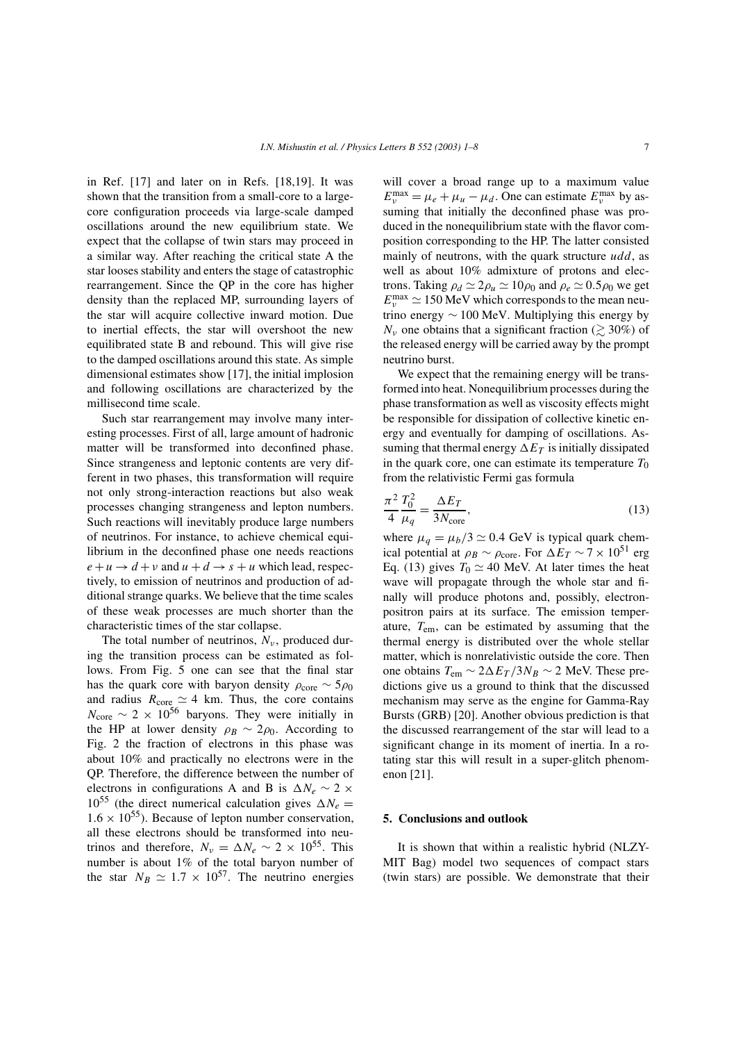in Ref. [17] and later on in Refs. [18,19]. It was shown that the transition from a small-core to a largecore configuration proceeds via large-scale damped oscillations around the new equilibrium state. We expect that the collapse of twin stars may proceed in a similar way. After reaching the critical state A the star looses stability and enters the stage of catastrophic rearrangement. Since the QP in the core has higher density than the replaced MP, surrounding layers of the star will acquire collective inward motion. Due to inertial effects, the star will overshoot the new equilibrated state B and rebound. This will give rise to the damped oscillations around this state. As simple dimensional estimates show [17], the initial implosion and following oscillations are characterized by the millisecond time scale.

Such star rearrangement may involve many interesting processes. First of all, large amount of hadronic matter will be transformed into deconfined phase. Since strangeness and leptonic contents are very different in two phases, this transformation will require not only strong-interaction reactions but also weak processes changing strangeness and lepton numbers. Such reactions will inevitably produce large numbers of neutrinos. For instance, to achieve chemical equilibrium in the deconfined phase one needs reactions  $e + u \rightarrow d + v$  and  $u + d \rightarrow s + u$  which lead, respectively, to emission of neutrinos and production of additional strange quarks. We believe that the time scales of these weak processes are much shorter than the characteristic times of the star collapse.

The total number of neutrinos,  $N_{\nu}$ , produced during the transition process can be estimated as follows. From Fig. 5 one can see that the final star has the quark core with baryon density  $\rho_{\text{core}} \sim 5\rho_0$ and radius  $R_{\text{core}} \simeq 4$  km. Thus, the core contains  $N_{\text{core}} \sim 2 \times 10^{56}$  baryons. They were initially in the HP at lower density  $\rho_B \sim 2\rho_0$ . According to Fig. 2 the fraction of electrons in this phase was about 10% and practically no electrons were in the QP. Therefore, the difference between the number of electrons in configurations A and B is  $\Delta N_e \sim 2 \times$  $10^{55}$  (the direct numerical calculation gives  $\Delta N_e =$  $1.6 \times 10^{55}$ ). Because of lepton number conservation, all these electrons should be transformed into neutrinos and therefore,  $N_v = \Delta N_e \sim 2 \times 10^{55}$ . This number is about 1% of the total baryon number of the star  $N_B \simeq 1.7 \times 10^{57}$ . The neutrino energies will cover a broad range up to a maximum value  $E_v^{\text{max}} = \mu_e + \mu_u - \mu_d$ . One can estimate  $E_v^{\text{max}}$  by assuming that initially the deconfined phase was produced in the nonequilibrium state with the flavor composition corresponding to the HP. The latter consisted mainly of neutrons, with the quark structure udd, as well as about 10% admixture of protons and electrons. Taking  $\rho_d \simeq 2\rho_u \simeq 10\rho_0$  and  $\rho_e \simeq 0.5\rho_0$  we get  $E_v^{\text{max}} \simeq 150 \text{ MeV}$  which corresponds to the mean neutrino energy ∼ 100 MeV. Multiplying this energy by  $N_{\nu}$  one obtains that a significant fraction ( $\geq 30\%$ ) of the released energy will be carried away by the prompt neutrino burst.

We expect that the remaining energy will be transformed into heat. Nonequilibrium processes during the phase transformation as well as viscosity effects might be responsible for dissipation of collective kinetic energy and eventually for damping of oscillations. Assuming that thermal energy  $\Delta E_T$  is initially dissipated in the quark core, one can estimate its temperature  $T_0$ from the relativistic Fermi gas formula

$$
\frac{\pi^2}{4} \frac{T_0^2}{\mu_q} = \frac{\Delta E_T}{3N_{\text{core}}},\tag{13}
$$

where  $\mu_q = \mu_b/3 \simeq 0.4$  GeV is typical quark chemical potential at  $\rho_B \sim \rho_{\text{core}}$ . For  $\Delta E_T \sim 7 \times 10^{51}$  erg Eq. (13) gives  $T_0 \simeq 40$  MeV. At later times the heat wave will propagate through the whole star and finally will produce photons and, possibly, electronpositron pairs at its surface. The emission temperature, Tem, can be estimated by assuming that the thermal energy is distributed over the whole stellar matter, which is nonrelativistic outside the core. Then one obtains  $T_{\text{em}} \sim 2\Delta E_T/3N_B \sim 2$  MeV. These predictions give us a ground to think that the discussed mechanism may serve as the engine for Gamma-Ray Bursts (GRB) [20]. Another obvious prediction is that the discussed rearrangement of the star will lead to a significant change in its moment of inertia. In a rotating star this will result in a super-glitch phenomenon [21].

## **5. Conclusions and outlook**

It is shown that within a realistic hybrid (NLZY-MIT Bag) model two sequences of compact stars (twin stars) are possible. We demonstrate that their